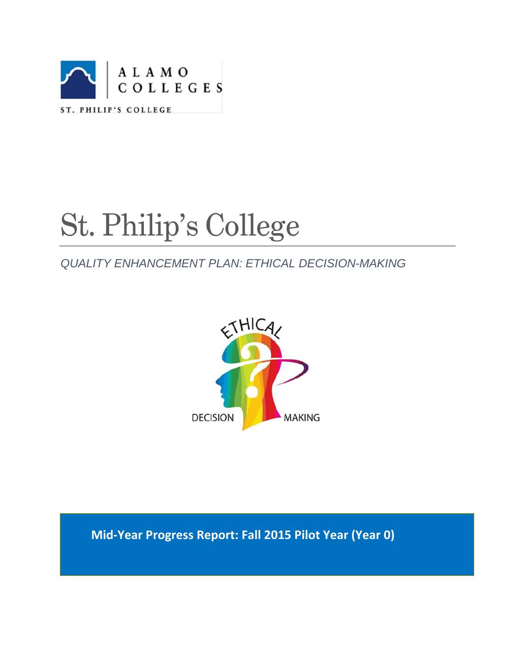

# St. Philip's College

# *QUALITY ENHANCEMENT PLAN: ETHICAL DECISION-MAKING*



**Mid-Year Progress Report: Fall 2015 Pilot Year (Year 0)**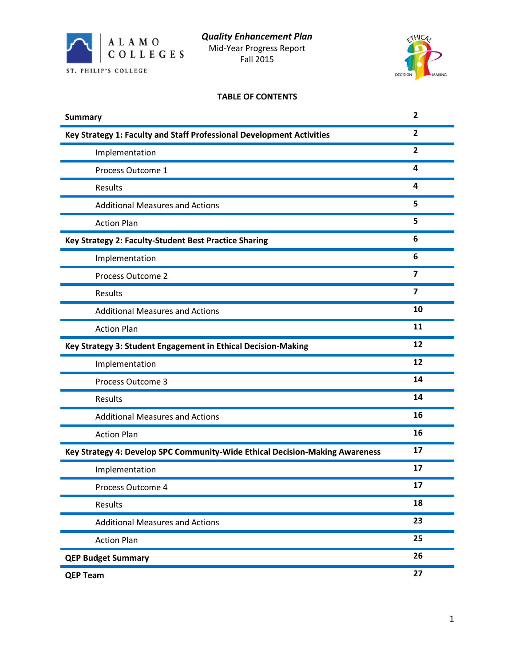



# **TABLE OF CONTENTS**

| <b>Summary</b>                                                               | $\overline{\mathbf{2}}$ |
|------------------------------------------------------------------------------|-------------------------|
| Key Strategy 1: Faculty and Staff Professional Development Activities        | $\overline{2}$          |
| Implementation                                                               | $\mathbf{2}$            |
| Process Outcome 1                                                            | 4                       |
| Results                                                                      | 4                       |
| <b>Additional Measures and Actions</b>                                       | 5                       |
| <b>Action Plan</b>                                                           | 5                       |
| Key Strategy 2: Faculty-Student Best Practice Sharing                        | 6                       |
| Implementation                                                               | 6                       |
| Process Outcome 2                                                            | $\overline{\mathbf{z}}$ |
| Results                                                                      | 7                       |
| <b>Additional Measures and Actions</b>                                       | 10                      |
| <b>Action Plan</b>                                                           | 11                      |
| Key Strategy 3: Student Engagement in Ethical Decision-Making                | 12                      |
| Implementation                                                               | 12                      |
| Process Outcome 3                                                            | 14                      |
| Results                                                                      | 14                      |
| <b>Additional Measures and Actions</b>                                       | 16                      |
| <b>Action Plan</b>                                                           | 16                      |
| Key Strategy 4: Develop SPC Community-Wide Ethical Decision-Making Awareness | 17                      |
| Implementation                                                               | 17                      |
| Process Outcome 4                                                            | 17                      |
| Results                                                                      | 18                      |
| <b>Additional Measures and Actions</b>                                       | 23                      |
| <b>Action Plan</b>                                                           | 25                      |
| <b>QEP Budget Summary</b>                                                    | 26                      |
| <b>QEP Team</b>                                                              | 27                      |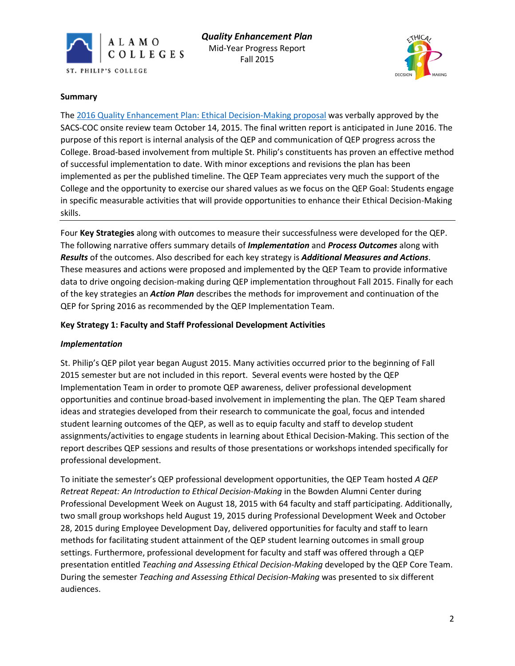



#### **Summary**

The [2016 Quality Enhancement Plan: Ethical Decision-Making proposal](http://alamo.edu/uploadedFiles/SPC/Faculty_and_Staff/QEP/Files/QEP%20Final%208282015%201730%20SACSCOC%20submission.pdf) was verbally approved by the SACS-COC onsite review team October 14, 2015. The final written report is anticipated in June 2016. The purpose of this report is internal analysis of the QEP and communication of QEP progress across the College. Broad-based involvement from multiple St. Philip's constituents has proven an effective method of successful implementation to date. With minor exceptions and revisions the plan has been implemented as per the published timeline. The QEP Team appreciates very much the support of the College and the opportunity to exercise our shared values as we focus on the QEP Goal: Students engage in specific measurable activities that will provide opportunities to enhance their Ethical Decision-Making skills.

Four **Key Strategies** along with outcomes to measure their successfulness were developed for the QEP. The following narrative offers summary details of *Implementation* and *Process Outcomes* along with *Results* of the outcomes. Also described for each key strategy is *Additional Measures and Actions*. These measures and actions were proposed and implemented by the QEP Team to provide informative data to drive ongoing decision-making during QEP implementation throughout Fall 2015. Finally for each of the key strategies an *Action Plan* describes the methods for improvement and continuation of the QEP for Spring 2016 as recommended by the QEP Implementation Team.

# **Key Strategy 1: Faculty and Staff Professional Development Activities**

# *Implementation*

St. Philip's QEP pilot year began August 2015. Many activities occurred prior to the beginning of Fall 2015 semester but are not included in this report. Several events were hosted by the QEP Implementation Team in order to promote QEP awareness, deliver professional development opportunities and continue broad-based involvement in implementing the plan. The QEP Team shared ideas and strategies developed from their research to communicate the goal, focus and intended student learning outcomes of the QEP, as well as to equip faculty and staff to develop student assignments/activities to engage students in learning about Ethical Decision-Making. This section of the report describes QEP sessions and results of those presentations or workshops intended specifically for professional development.

To initiate the semester's QEP professional development opportunities, the QEP Team hosted *A QEP Retreat Repeat: An Introduction to Ethical Decision-Making* in the Bowden Alumni Center during Professional Development Week on August 18, 2015 with 64 faculty and staff participating. Additionally, two small group workshops held August 19, 2015 during Professional Development Week and October 28, 2015 during Employee Development Day, delivered opportunities for faculty and staff to learn methods for facilitating student attainment of the QEP student learning outcomes in small group settings. Furthermore, professional development for faculty and staff was offered through a QEP presentation entitled *Teaching and Assessing Ethical Decision-Making* developed by the QEP Core Team. During the semester *Teaching and Assessing Ethical Decision-Making* was presented to six different audiences.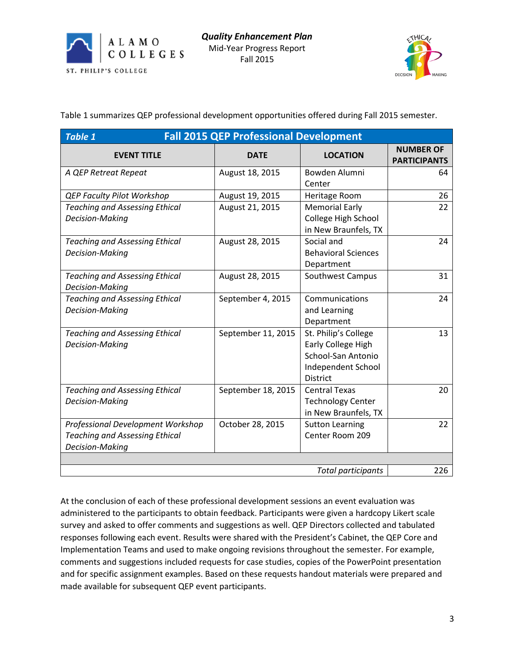



Table 1 summarizes QEP professional development opportunities offered during Fall 2015 semester.

| <b>Fall 2015 QEP Professional Development</b><br><b>Table 1</b> |                    |                                             |                                         |  |  |
|-----------------------------------------------------------------|--------------------|---------------------------------------------|-----------------------------------------|--|--|
| <b>EVENT TITLE</b>                                              | <b>DATE</b>        | <b>LOCATION</b>                             | <b>NUMBER OF</b><br><b>PARTICIPANTS</b> |  |  |
| A QEP Retreat Repeat                                            | August 18, 2015    | Bowden Alumni<br>Center                     | 64                                      |  |  |
| <b>QEP Faculty Pilot Workshop</b>                               | August 19, 2015    | Heritage Room                               | 26                                      |  |  |
| <b>Teaching and Assessing Ethical</b>                           | August 21, 2015    | <b>Memorial Early</b>                       | 22                                      |  |  |
| Decision-Making                                                 |                    | College High School<br>in New Braunfels, TX |                                         |  |  |
| <b>Teaching and Assessing Ethical</b>                           | August 28, 2015    | Social and                                  | 24                                      |  |  |
| Decision-Making                                                 |                    | <b>Behavioral Sciences</b><br>Department    |                                         |  |  |
| <b>Teaching and Assessing Ethical</b><br>Decision-Making        | August 28, 2015    | Southwest Campus                            | 31                                      |  |  |
| <b>Teaching and Assessing Ethical</b>                           | September 4, 2015  | Communications                              | 24                                      |  |  |
| <b>Decision-Making</b>                                          |                    | and Learning                                |                                         |  |  |
|                                                                 |                    | Department                                  |                                         |  |  |
| <b>Teaching and Assessing Ethical</b>                           | September 11, 2015 | St. Philip's College                        | 13                                      |  |  |
| Decision-Making                                                 |                    | Early College High                          |                                         |  |  |
|                                                                 |                    | School-San Antonio                          |                                         |  |  |
|                                                                 |                    | Independent School<br><b>District</b>       |                                         |  |  |
| <b>Teaching and Assessing Ethical</b>                           | September 18, 2015 | <b>Central Texas</b>                        | 20                                      |  |  |
| Decision-Making                                                 |                    | <b>Technology Center</b>                    |                                         |  |  |
|                                                                 |                    | in New Braunfels, TX                        |                                         |  |  |
| Professional Development Workshop                               | October 28, 2015   | <b>Sutton Learning</b>                      | 22                                      |  |  |
| <b>Teaching and Assessing Ethical</b>                           |                    | Center Room 209                             |                                         |  |  |
| Decision-Making                                                 |                    |                                             |                                         |  |  |
|                                                                 |                    |                                             |                                         |  |  |
| 226<br><b>Total participants</b>                                |                    |                                             |                                         |  |  |

At the conclusion of each of these professional development sessions an event evaluation was administered to the participants to obtain feedback. Participants were given a hardcopy Likert scale survey and asked to offer comments and suggestions as well. QEP Directors collected and tabulated responses following each event. Results were shared with the President's Cabinet, the QEP Core and Implementation Teams and used to make ongoing revisions throughout the semester. For example, comments and suggestions included requests for case studies, copies of the PowerPoint presentation and for specific assignment examples. Based on these requests handout materials were prepared and made available for subsequent QEP event participants.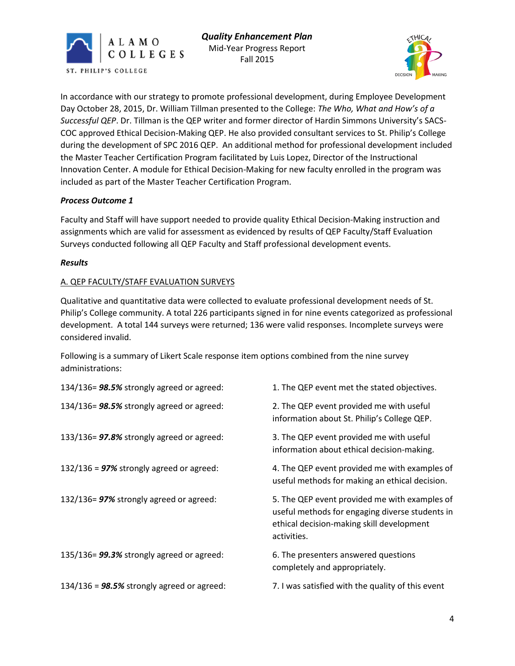



In accordance with our strategy to promote professional development, during Employee Development Day October 28, 2015, Dr. William Tillman presented to the College: *The Who, What and How's of a Successful QEP*. Dr. Tillman is the QEP writer and former director of Hardin Simmons University's SACS-COC approved Ethical Decision-Making QEP. He also provided consultant services to St. Philip's College during the development of SPC 2016 QEP. An additional method for professional development included the Master Teacher Certification Program facilitated by Luis Lopez, Director of the Instructional Innovation Center. A module for Ethical Decision-Making for new faculty enrolled in the program was included as part of the Master Teacher Certification Program.

# *Process Outcome 1*

Faculty and Staff will have support needed to provide quality Ethical Decision-Making instruction and assignments which are valid for assessment as evidenced by results of QEP Faculty/Staff Evaluation Surveys conducted following all QEP Faculty and Staff professional development events.

#### *Results*

#### A. QEP FACULTY/STAFF EVALUATION SURVEYS

Qualitative and quantitative data were collected to evaluate professional development needs of St. Philip's College community. A total 226 participants signed in for nine events categorized as professional development. A total 144 surveys were returned; 136 were valid responses. Incomplete surveys were considered invalid.

Following is a summary of Likert Scale response item options combined from the nine survey administrations:

| 134/136= 98.5% strongly agreed or agreed:     | 1. The QEP event met the stated objectives.                                                                                                                  |
|-----------------------------------------------|--------------------------------------------------------------------------------------------------------------------------------------------------------------|
| 134/136= 98.5% strongly agreed or agreed:     | 2. The QEP event provided me with useful<br>information about St. Philip's College QEP.                                                                      |
| 133/136= 97.8% strongly agreed or agreed:     | 3. The QEP event provided me with useful<br>information about ethical decision-making.                                                                       |
| 132/136 = $97\%$ strongly agreed or agreed:   | 4. The QEP event provided me with examples of<br>useful methods for making an ethical decision.                                                              |
| 132/136= 97% strongly agreed or agreed:       | 5. The QEP event provided me with examples of<br>useful methods for engaging diverse students in<br>ethical decision-making skill development<br>activities. |
| 135/136= 99.3% strongly agreed or agreed:     | 6. The presenters answered questions<br>completely and appropriately.                                                                                        |
| 134/136 = $98.5\%$ strongly agreed or agreed: | 7. I was satisfied with the quality of this event                                                                                                            |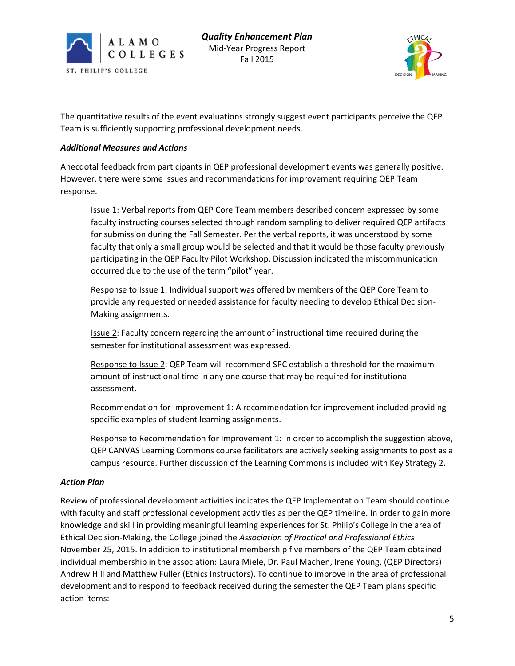



The quantitative results of the event evaluations strongly suggest event participants perceive the QEP Team is sufficiently supporting professional development needs.

## *Additional Measures and Actions*

Anecdotal feedback from participants in QEP professional development events was generally positive. However, there were some issues and recommendations for improvement requiring QEP Team response.

Issue 1: Verbal reports from QEP Core Team members described concern expressed by some faculty instructing courses selected through random sampling to deliver required QEP artifacts for submission during the Fall Semester. Per the verbal reports, it was understood by some faculty that only a small group would be selected and that it would be those faculty previously participating in the QEP Faculty Pilot Workshop. Discussion indicated the miscommunication occurred due to the use of the term "pilot" year.

Response to Issue 1: Individual support was offered by members of the QEP Core Team to provide any requested or needed assistance for faculty needing to develop Ethical Decision-Making assignments.

**Issue 2:** Faculty concern regarding the amount of instructional time required during the semester for institutional assessment was expressed.

Response to Issue 2: QEP Team will recommend SPC establish a threshold for the maximum amount of instructional time in any one course that may be required for institutional assessment.

Recommendation for Improvement 1: A recommendation for improvement included providing specific examples of student learning assignments.

Response to Recommendation for Improvement 1: In order to accomplish the suggestion above, QEP CANVAS Learning Commons course facilitators are actively seeking assignments to post as a campus resource. Further discussion of the Learning Commons is included with Key Strategy 2.

#### *Action Plan*

Review of professional development activities indicates the QEP Implementation Team should continue with faculty and staff professional development activities as per the QEP timeline. In order to gain more knowledge and skill in providing meaningful learning experiences for St. Philip's College in the area of Ethical Decision-Making, the College joined the *Association of Practical and Professional Ethics* November 25, 2015. In addition to institutional membership five members of the QEP Team obtained individual membership in the association: Laura Miele, Dr. Paul Machen, Irene Young, (QEP Directors) Andrew Hill and Matthew Fuller (Ethics Instructors). To continue to improve in the area of professional development and to respond to feedback received during the semester the QEP Team plans specific action items: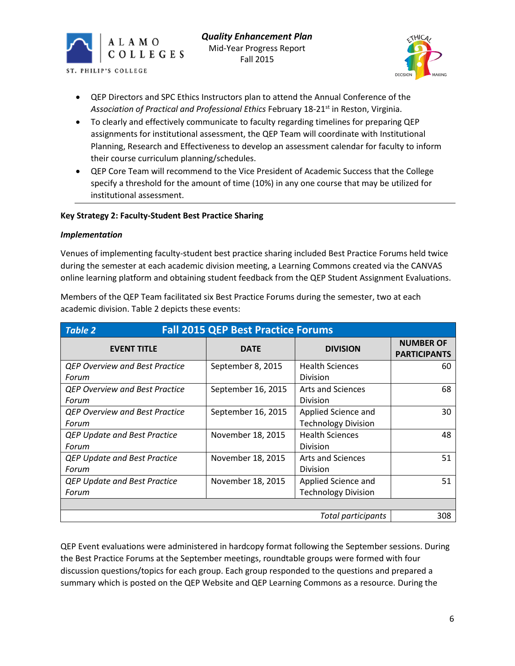





- QEP Directors and SPC Ethics Instructors plan to attend the Annual Conference of the Association of Practical and Professional Ethics February 18-21<sup>st</sup> in Reston, Virginia.
- To clearly and effectively communicate to faculty regarding timelines for preparing QEP assignments for institutional assessment, the QEP Team will coordinate with Institutional Planning, Research and Effectiveness to develop an assessment calendar for faculty to inform their course curriculum planning/schedules.
- QEP Core Team will recommend to the Vice President of Academic Success that the College specify a threshold for the amount of time (10%) in any one course that may be utilized for institutional assessment.

# **Key Strategy 2: Faculty-Student Best Practice Sharing**

#### *Implementation*

Venues of implementing faculty-student best practice sharing included Best Practice Forums held twice during the semester at each academic division meeting, a Learning Commons created via the CANVAS online learning platform and obtaining student feedback from the QEP Student Assignment Evaluations.

Members of the QEP Team facilitated six Best Practice Forums during the semester, two at each academic division. Table 2 depicts these events:

| <b>Fall 2015 QEP Best Practice Forums</b><br>Table 2 |                    |                            |                                         |  |
|------------------------------------------------------|--------------------|----------------------------|-----------------------------------------|--|
| <b>EVENT TITLE</b>                                   | <b>DATE</b>        | <b>DIVISION</b>            | <b>NUMBER OF</b><br><b>PARTICIPANTS</b> |  |
| <b>QEP Overview and Best Practice</b>                | September 8, 2015  | <b>Health Sciences</b>     | 60                                      |  |
| Forum                                                |                    | <b>Division</b>            |                                         |  |
| <b>QEP Overview and Best Practice</b>                | September 16, 2015 | <b>Arts and Sciences</b>   | 68                                      |  |
| Forum                                                |                    | <b>Division</b>            |                                         |  |
| <b>QEP Overview and Best Practice</b>                | September 16, 2015 | Applied Science and        | 30                                      |  |
| Forum                                                |                    | <b>Technology Division</b> |                                         |  |
| <b>QEP Update and Best Practice</b>                  | November 18, 2015  | <b>Health Sciences</b>     | 48                                      |  |
| Forum                                                |                    | <b>Division</b>            |                                         |  |
| <b>QEP Update and Best Practice</b>                  | November 18, 2015  | <b>Arts and Sciences</b>   | 51                                      |  |
| Forum                                                |                    | <b>Division</b>            |                                         |  |
| <b>QEP Update and Best Practice</b>                  | November 18, 2015  | Applied Science and        | 51                                      |  |
| Forum                                                |                    | <b>Technology Division</b> |                                         |  |
|                                                      |                    |                            |                                         |  |
|                                                      |                    | Total participants         | 308                                     |  |

QEP Event evaluations were administered in hardcopy format following the September sessions. During the Best Practice Forums at the September meetings, roundtable groups were formed with four discussion questions/topics for each group. Each group responded to the questions and prepared a summary which is posted on the QEP Website and QEP Learning Commons as a resource. During the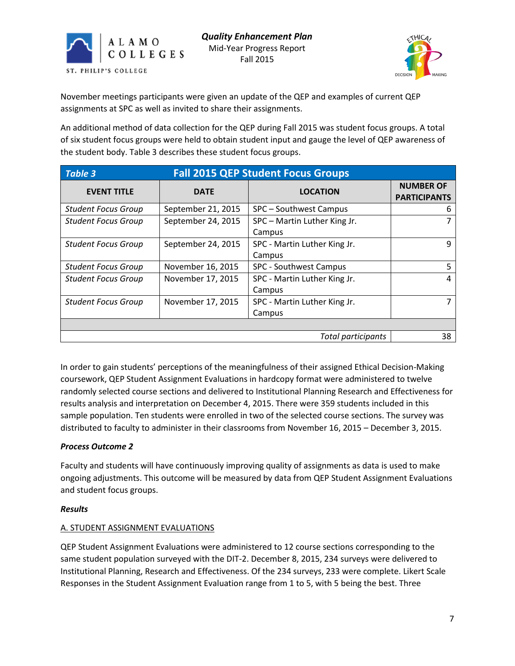



November meetings participants were given an update of the QEP and examples of current QEP assignments at SPC as well as invited to share their assignments.

An additional method of data collection for the QEP during Fall 2015 was student focus groups. A total of six student focus groups were held to obtain student input and gauge the level of QEP awareness of the student body. Table 3 describes these student focus groups.

| <b>Fall 2015 QEP Student Focus Groups</b><br>Table 3 |                          |                                        |                                         |  |  |
|------------------------------------------------------|--------------------------|----------------------------------------|-----------------------------------------|--|--|
| <b>EVENT TITLE</b>                                   | <b>DATE</b>              | <b>LOCATION</b>                        | <b>NUMBER OF</b><br><b>PARTICIPANTS</b> |  |  |
| <b>Student Focus Group</b>                           | September 21, 2015       | SPC – Southwest Campus                 | h                                       |  |  |
| <b>Student Focus Group</b>                           | September 24, 2015       | SPC - Martin Luther King Jr.<br>Campus |                                         |  |  |
| <b>Student Focus Group</b>                           | September 24, 2015       | SPC - Martin Luther King Jr.<br>Campus | q                                       |  |  |
| <b>Student Focus Group</b>                           | November 16, 2015        | SPC - Southwest Campus                 |                                         |  |  |
| <b>Student Focus Group</b>                           | November 17, 2015        | SPC - Martin Luther King Jr.<br>Campus | 4                                       |  |  |
| <b>Student Focus Group</b>                           | November 17, 2015        | SPC - Martin Luther King Jr.<br>Campus |                                         |  |  |
|                                                      |                          |                                        |                                         |  |  |
|                                                      | Total participants<br>38 |                                        |                                         |  |  |

In order to gain students' perceptions of the meaningfulness of their assigned Ethical Decision-Making coursework, QEP Student Assignment Evaluations in hardcopy format were administered to twelve randomly selected course sections and delivered to Institutional Planning Research and Effectiveness for results analysis and interpretation on December 4, 2015. There were 359 students included in this sample population. Ten students were enrolled in two of the selected course sections. The survey was distributed to faculty to administer in their classrooms from November 16, 2015 – December 3, 2015.

# *Process Outcome 2*

Faculty and students will have continuously improving quality of assignments as data is used to make ongoing adjustments. This outcome will be measured by data from QEP Student Assignment Evaluations and student focus groups.

#### *Results*

# A. STUDENT ASSIGNMENT EVALUATIONS

QEP Student Assignment Evaluations were administered to 12 course sections corresponding to the same student population surveyed with the DIT-2. December 8, 2015, 234 surveys were delivered to Institutional Planning, Research and Effectiveness. Of the 234 surveys, 233 were complete. Likert Scale Responses in the Student Assignment Evaluation range from 1 to 5, with 5 being the best. Three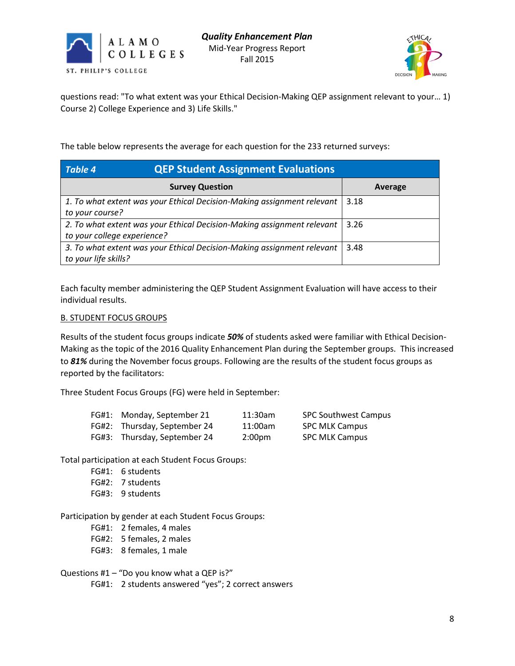



questions read: "To what extent was your Ethical Decision-Making QEP assignment relevant to your… 1) Course 2) College Experience and 3) Life Skills."

The table below represents the average for each question for the 233 returned surveys:

| <b>QEP Student Assignment Evaluations</b><br>Table 4                   |         |
|------------------------------------------------------------------------|---------|
| <b>Survey Question</b>                                                 | Average |
| 1. To what extent was your Ethical Decision-Making assignment relevant | 3.18    |
| to your course?                                                        |         |
| 2. To what extent was your Ethical Decision-Making assignment relevant | 3.26    |
| to your college experience?                                            |         |
| 3. To what extent was your Ethical Decision-Making assignment relevant | 3.48    |
| to your life skills?                                                   |         |

Each faculty member administering the QEP Student Assignment Evaluation will have access to their individual results.

#### B. STUDENT FOCUS GROUPS

Results of the student focus groups indicate *50%* of students asked were familiar with Ethical Decision-Making as the topic of the 2016 Quality Enhancement Plan during the September groups. This increased to *81%* during the November focus groups. Following are the results of the student focus groups as reported by the facilitators:

Three Student Focus Groups (FG) were held in September:

| FG#1: Monday, September 21   | 11:30am            | <b>SPC Southwest Campus</b> |
|------------------------------|--------------------|-----------------------------|
| FG#2: Thursday, September 24 | 11:00am            | <b>SPC MLK Campus</b>       |
| FG#3: Thursday, September 24 | 2:00 <sub>pm</sub> | <b>SPC MLK Campus</b>       |

Total participation at each Student Focus Groups:

- FG#1: 6 students
- FG#2: 7 students
- FG#3: 9 students

Participation by gender at each Student Focus Groups:

- FG#1: 2 females, 4 males
- FG#2: 5 females, 2 males
- FG#3: 8 females, 1 male

Questions #1 – "Do you know what a QEP is?"

FG#1: 2 students answered "yes"; 2 correct answers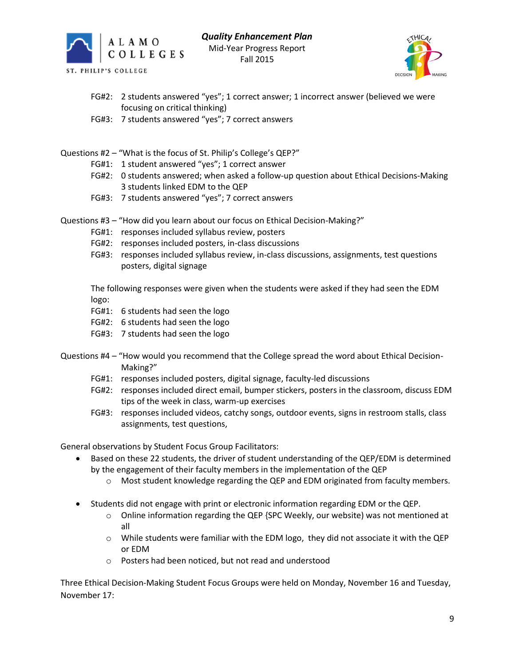



- FG#2: 2 students answered "yes"; 1 correct answer; 1 incorrect answer (believed we were focusing on critical thinking)
- FG#3: 7 students answered "yes"; 7 correct answers
- Questions #2 "What is the focus of St. Philip's College's QEP?"
	- FG#1: 1 student answered "yes"; 1 correct answer
	- FG#2: 0 students answered; when asked a follow-up question about Ethical Decisions-Making 3 students linked EDM to the QEP
	- FG#3: 7 students answered "yes"; 7 correct answers
- Questions #3 "How did you learn about our focus on Ethical Decision-Making?"
	- FG#1: responses included syllabus review, posters
	- FG#2: responses included posters, in-class discussions
	- FG#3: responses included syllabus review, in-class discussions, assignments, test questions posters, digital signage

The following responses were given when the students were asked if they had seen the EDM logo:

- FG#1: 6 students had seen the logo
- FG#2: 6 students had seen the logo
- FG#3: 7 students had seen the logo
- Questions #4 "How would you recommend that the College spread the word about Ethical Decision-Making?"
	- FG#1: responses included posters, digital signage, faculty-led discussions
	- FG#2: responses included direct email, bumper stickers, posters in the classroom, discuss EDM tips of the week in class, warm-up exercises
	- FG#3: responses included videos, catchy songs, outdoor events, signs in restroom stalls, class assignments, test questions,

General observations by Student Focus Group Facilitators:

- Based on these 22 students, the driver of student understanding of the QEP/EDM is determined by the engagement of their faculty members in the implementation of the QEP
	- o Most student knowledge regarding the QEP and EDM originated from faculty members.
- Students did not engage with print or electronic information regarding EDM or the QEP.
	- $\circ$  Online information regarding the QEP {SPC Weekly, our website) was not mentioned at all
	- $\circ$  While students were familiar with the EDM logo, they did not associate it with the QEP or EDM
	- o Posters had been noticed, but not read and understood

Three Ethical Decision-Making Student Focus Groups were held on Monday, November 16 and Tuesday, November 17: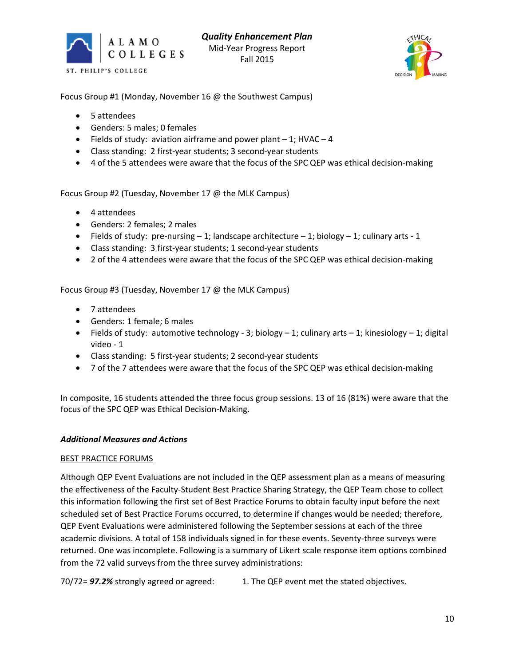



Focus Group #1 (Monday, November 16 @ the Southwest Campus)

- 5 attendees
- Genders: 5 males; 0 females
- $\bullet$  Fields of study: aviation airframe and power plant  $-1$ ; HVAC  $-4$
- Class standing: 2 first-year students; 3 second-year students
- 4 of the 5 attendees were aware that the focus of the SPC QEP was ethical decision-making

Focus Group #2 (Tuesday, November 17 @ the MLK Campus)

- 4 attendees
- Genders: 2 females; 2 males
- Fields of study: pre-nursing  $-1$ ; landscape architecture  $-1$ ; biology  $-1$ ; culinary arts  $-1$
- Class standing: 3 first-year students; 1 second-year students
- 2 of the 4 attendees were aware that the focus of the SPC QEP was ethical decision-making

Focus Group #3 (Tuesday, November 17 @ the MLK Campus)

- 7 attendees
- Genders: 1 female; 6 males
- Fields of study: automotive technology 3; biology  $-1$ ; culinary arts  $-1$ ; kinesiology  $-1$ ; digital video - 1
- Class standing: 5 first-year students; 2 second-year students
- 7 of the 7 attendees were aware that the focus of the SPC QEP was ethical decision-making

In composite, 16 students attended the three focus group sessions. 13 of 16 (81%) were aware that the focus of the SPC QEP was Ethical Decision-Making.

#### *Additional Measures and Actions*

#### BEST PRACTICE FORUMS

Although QEP Event Evaluations are not included in the QEP assessment plan as a means of measuring the effectiveness of the Faculty-Student Best Practice Sharing Strategy, the QEP Team chose to collect this information following the first set of Best Practice Forums to obtain faculty input before the next scheduled set of Best Practice Forums occurred, to determine if changes would be needed; therefore, QEP Event Evaluations were administered following the September sessions at each of the three academic divisions. A total of 158 individuals signed in for these events. Seventy-three surveys were returned. One was incomplete. Following is a summary of Likert scale response item options combined from the 72 valid surveys from the three survey administrations:

70/72= *97.2%* strongly agreed or agreed: 1. The QEP event met the stated objectives.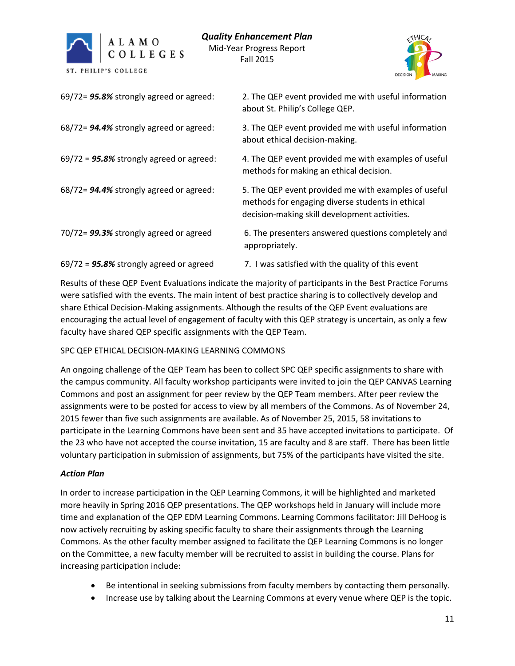



| 69/72= 95.8% strongly agreed or agreed:     | 2. The QEP event provided me with useful information<br>about St. Philip's College QEP.                                                                   |
|---------------------------------------------|-----------------------------------------------------------------------------------------------------------------------------------------------------------|
| 68/72= 94.4% strongly agreed or agreed:     | 3. The QEP event provided me with useful information<br>about ethical decision-making.                                                                    |
| $69/72 = 95.8\%$ strongly agreed or agreed: | 4. The QEP event provided me with examples of useful<br>methods for making an ethical decision.                                                           |
| 68/72= 94.4% strongly agreed or agreed:     | 5. The QEP event provided me with examples of useful<br>methods for engaging diverse students in ethical<br>decision-making skill development activities. |
| 70/72= 99.3% strongly agreed or agreed      | 6. The presenters answered questions completely and<br>appropriately.                                                                                     |
| $69/72$ = 95.8% strongly agreed or agreed   | 7. I was satisfied with the quality of this event                                                                                                         |

Results of these QEP Event Evaluations indicate the majority of participants in the Best Practice Forums were satisfied with the events. The main intent of best practice sharing is to collectively develop and share Ethical Decision-Making assignments. Although the results of the QEP Event evaluations are encouraging the actual level of engagement of faculty with this QEP strategy is uncertain, as only a few faculty have shared QEP specific assignments with the QEP Team.

#### SPC QEP ETHICAL DECISION-MAKING LEARNING COMMONS

An ongoing challenge of the QEP Team has been to collect SPC QEP specific assignments to share with the campus community. All faculty workshop participants were invited to join the QEP CANVAS Learning Commons and post an assignment for peer review by the QEP Team members. After peer review the assignments were to be posted for access to view by all members of the Commons. As of November 24, 2015 fewer than five such assignments are available. As of November 25, 2015, 58 invitations to participate in the Learning Commons have been sent and 35 have accepted invitations to participate. Of the 23 who have not accepted the course invitation, 15 are faculty and 8 are staff. There has been little voluntary participation in submission of assignments, but 75% of the participants have visited the site.

# *Action Plan*

In order to increase participation in the QEP Learning Commons, it will be highlighted and marketed more heavily in Spring 2016 QEP presentations. The QEP workshops held in January will include more time and explanation of the QEP EDM Learning Commons. Learning Commons facilitator: Jill DeHoog is now actively recruiting by asking specific faculty to share their assignments through the Learning Commons. As the other faculty member assigned to facilitate the QEP Learning Commons is no longer on the Committee, a new faculty member will be recruited to assist in building the course. Plans for increasing participation include:

- Be intentional in seeking submissions from faculty members by contacting them personally.
- Increase use by talking about the Learning Commons at every venue where QEP is the topic.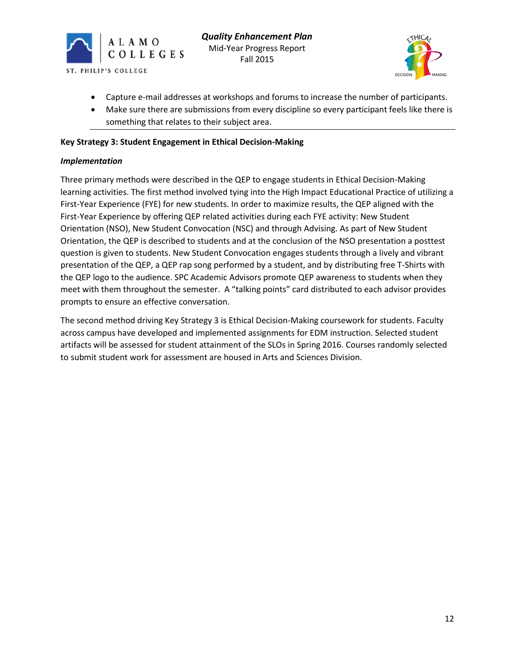



- Capture e-mail addresses at workshops and forums to increase the number of participants.
- Make sure there are submissions from every discipline so every participant feels like there is something that relates to their subject area.

## **Key Strategy 3: Student Engagement in Ethical Decision-Making**

#### *Implementation*

Three primary methods were described in the QEP to engage students in Ethical Decision-Making learning activities. The first method involved tying into the High Impact Educational Practice of utilizing a First-Year Experience (FYE) for new students. In order to maximize results, the QEP aligned with the First-Year Experience by offering QEP related activities during each FYE activity: New Student Orientation (NSO), New Student Convocation (NSC) and through Advising. As part of New Student Orientation, the QEP is described to students and at the conclusion of the NSO presentation a posttest question is given to students. New Student Convocation engages students through a lively and vibrant presentation of the QEP, a QEP rap song performed by a student, and by distributing free T-Shirts with the QEP logo to the audience. SPC Academic Advisors promote QEP awareness to students when they meet with them throughout the semester. A "talking points" card distributed to each advisor provides prompts to ensure an effective conversation.

The second method driving Key Strategy 3 is Ethical Decision-Making coursework for students. Faculty across campus have developed and implemented assignments for EDM instruction. Selected student artifacts will be assessed for student attainment of the SLOs in Spring 2016. Courses randomly selected to submit student work for assessment are housed in Arts and Sciences Division.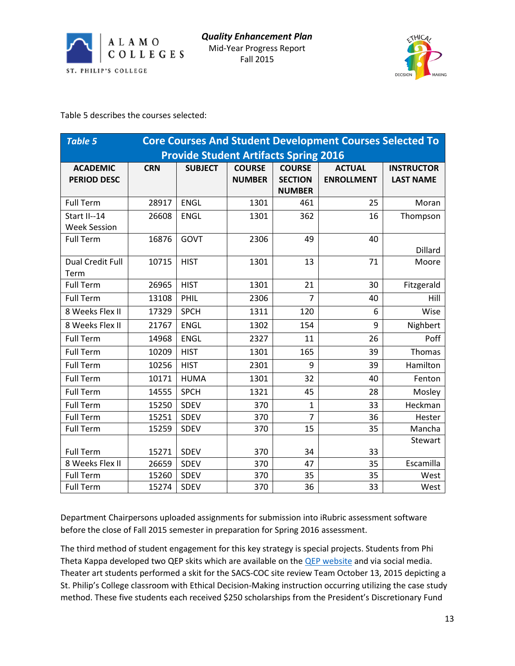



Table 5 describes the courses selected:

| <b>Core Courses And Student Development Courses Selected To</b><br><b>Table 5</b> |                                              |                |                                |                                                  |                                    |                                       |
|-----------------------------------------------------------------------------------|----------------------------------------------|----------------|--------------------------------|--------------------------------------------------|------------------------------------|---------------------------------------|
|                                                                                   | <b>Provide Student Artifacts Spring 2016</b> |                |                                |                                                  |                                    |                                       |
| <b>ACADEMIC</b><br><b>PERIOD DESC</b>                                             | <b>CRN</b>                                   | <b>SUBJECT</b> | <b>COURSE</b><br><b>NUMBER</b> | <b>COURSE</b><br><b>SECTION</b><br><b>NUMBER</b> | <b>ACTUAL</b><br><b>ENROLLMENT</b> | <b>INSTRUCTOR</b><br><b>LAST NAME</b> |
| <b>Full Term</b>                                                                  | 28917                                        | <b>ENGL</b>    | 1301                           | 461                                              | 25                                 | Moran                                 |
| Start II--14<br><b>Week Session</b>                                               | 26608                                        | <b>ENGL</b>    | 1301                           | 362                                              | 16                                 | Thompson                              |
| <b>Full Term</b>                                                                  | 16876                                        | GOVT           | 2306                           | 49                                               | 40                                 | Dillard                               |
| Dual Credit Full<br>Term                                                          | 10715                                        | <b>HIST</b>    | 1301                           | 13                                               | 71                                 | Moore                                 |
| <b>Full Term</b>                                                                  | 26965                                        | <b>HIST</b>    | 1301                           | 21                                               | 30                                 | Fitzgerald                            |
| <b>Full Term</b>                                                                  | 13108                                        | PHIL           | 2306                           | 7                                                | 40                                 | Hill                                  |
| 8 Weeks Flex II                                                                   | 17329                                        | <b>SPCH</b>    | 1311                           | 120                                              | 6                                  | Wise                                  |
| 8 Weeks Flex II                                                                   | 21767                                        | <b>ENGL</b>    | 1302                           | 154                                              | 9                                  | Nighbert                              |
| <b>Full Term</b>                                                                  | 14968                                        | <b>ENGL</b>    | 2327                           | 11                                               | 26                                 | Poff                                  |
| <b>Full Term</b>                                                                  | 10209                                        | <b>HIST</b>    | 1301                           | 165                                              | 39                                 | Thomas                                |
| <b>Full Term</b>                                                                  | 10256                                        | <b>HIST</b>    | 2301                           | 9                                                | 39                                 | Hamilton                              |
| <b>Full Term</b>                                                                  | 10171                                        | <b>HUMA</b>    | 1301                           | 32                                               | 40                                 | Fenton                                |
| <b>Full Term</b>                                                                  | 14555                                        | <b>SPCH</b>    | 1321                           | 45                                               | 28                                 | Mosley                                |
| <b>Full Term</b>                                                                  | 15250                                        | <b>SDEV</b>    | 370                            | 1                                                | 33                                 | Heckman                               |
| <b>Full Term</b>                                                                  | 15251                                        | SDEV           | 370                            | $\overline{7}$                                   | 36                                 | Hester                                |
| <b>Full Term</b>                                                                  | 15259                                        | <b>SDEV</b>    | 370                            | 15                                               | 35                                 | Mancha                                |
| <b>Full Term</b>                                                                  | 15271                                        | SDEV           | 370                            | 34                                               | 33                                 | Stewart                               |
| 8 Weeks Flex II                                                                   | 26659                                        | SDEV           | 370                            | 47                                               | 35                                 | Escamilla                             |
| <b>Full Term</b>                                                                  | 15260                                        | <b>SDEV</b>    | 370                            | 35                                               | 35                                 | West                                  |
| <b>Full Term</b>                                                                  | 15274                                        | <b>SDEV</b>    | 370                            | 36                                               | 33                                 | West                                  |

Department Chairpersons uploaded assignments for submission into iRubric assessment software before the close of Fall 2015 semester in preparation for Spring 2016 assessment.

The third method of student engagement for this key strategy is special projects. Students from Phi Theta Kappa developed two QEP skits which are available on th[e QEP website](http://alamo.edu/spc/about-qep/) and via social media. Theater art students performed a skit for the SACS-COC site review Team October 13, 2015 depicting a St. Philip's College classroom with Ethical Decision-Making instruction occurring utilizing the case study method. These five students each received \$250 scholarships from the President's Discretionary Fund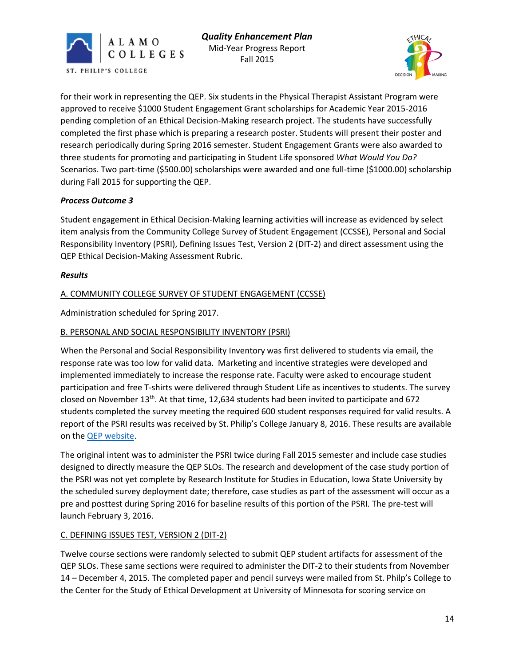



for their work in representing the QEP. Six students in the Physical Therapist Assistant Program were approved to receive \$1000 Student Engagement Grant scholarships for Academic Year 2015-2016 pending completion of an Ethical Decision-Making research project. The students have successfully completed the first phase which is preparing a research poster. Students will present their poster and research periodically during Spring 2016 semester. Student Engagement Grants were also awarded to three students for promoting and participating in Student Life sponsored *What Would You Do?* Scenarios. Two part-time (\$500.00) scholarships were awarded and one full-time (\$1000.00) scholarship during Fall 2015 for supporting the QEP.

# *Process Outcome 3*

Student engagement in Ethical Decision-Making learning activities will increase as evidenced by select item analysis from the Community College Survey of Student Engagement (CCSSE), Personal and Social Responsibility Inventory (PSRI), Defining Issues Test, Version 2 (DIT-2) and direct assessment using the QEP Ethical Decision-Making Assessment Rubric.

#### *Results*

# A. COMMUNITY COLLEGE SURVEY OF STUDENT ENGAGEMENT (CCSSE)

Administration scheduled for Spring 2017.

#### B. PERSONAL AND SOCIAL RESPONSIBILITY INVENTORY (PSRI)

When the Personal and Social Responsibility Inventory was first delivered to students via email, the response rate was too low for valid data. Marketing and incentive strategies were developed and implemented immediately to increase the response rate. Faculty were asked to encourage student participation and free T-shirts were delivered through Student Life as incentives to students. The survey closed on November 13th. At that time, 12,634 students had been invited to participate and 672 students completed the survey meeting the required 600 student responses required for valid results. A report of the PSRI results was received by St. Philip's College January 8, 2016. These results are available on th[e QEP website.](http://alamo.edu/uploadedFiles/SPC/Faculty_and_Staff/QEP/Files/QEPPSRI-Fall2015Report.pdf)

The original intent was to administer the PSRI twice during Fall 2015 semester and include case studies designed to directly measure the QEP SLOs. The research and development of the case study portion of the PSRI was not yet complete by Research Institute for Studies in Education, Iowa State University by the scheduled survey deployment date; therefore, case studies as part of the assessment will occur as a pre and posttest during Spring 2016 for baseline results of this portion of the PSRI. The pre-test will launch February 3, 2016.

#### C. DEFINING ISSUES TEST, VERSION 2 (DIT-2)

Twelve course sections were randomly selected to submit QEP student artifacts for assessment of the QEP SLOs. These same sections were required to administer the DIT-2 to their students from November 14 – December 4, 2015. The completed paper and pencil surveys were mailed from St. Philp's College to the Center for the Study of Ethical Development at University of Minnesota for scoring service on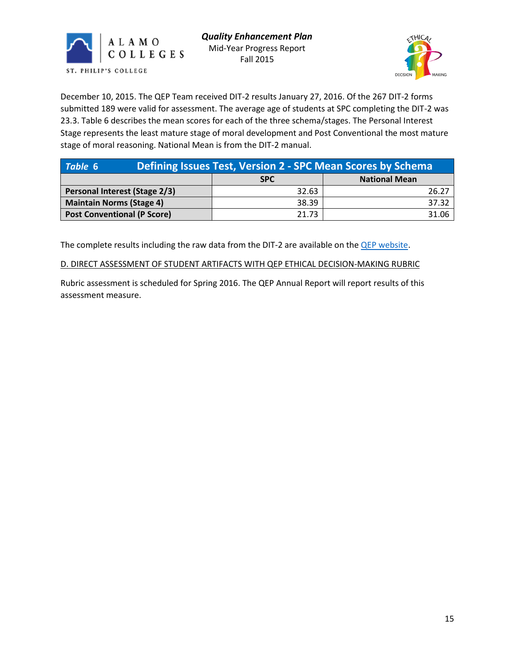



December 10, 2015. The QEP Team received DIT-2 results January 27, 2016. Of the 267 DIT-2 forms submitted 189 were valid for assessment. The average age of students at SPC completing the DIT-2 was 23.3. Table 6 describes the mean scores for each of the three schema/stages. The Personal Interest Stage represents the least mature stage of moral development and Post Conventional the most mature stage of moral reasoning. National Mean is from the DIT-2 manual.

| Table 6                            | Defining Issues Test, Version 2 - SPC Mean Scores by Schema |       |  |  |
|------------------------------------|-------------------------------------------------------------|-------|--|--|
| <b>National Mean</b><br><b>SPC</b> |                                                             |       |  |  |
| Personal Interest (Stage 2/3)      | 32.63                                                       | 26.27 |  |  |
| <b>Maintain Norms (Stage 4)</b>    | 38.39                                                       | 37.32 |  |  |
| <b>Post Conventional (P Score)</b> | 21.73                                                       | 31.06 |  |  |

The complete results including the raw data from the DIT-2 are available on the **QEP** website.

#### D. DIRECT ASSESSMENT OF STUDENT ARTIFACTS WITH QEP ETHICAL DECISION-MAKING RUBRIC

Rubric assessment is scheduled for Spring 2016. The QEP Annual Report will report results of this assessment measure.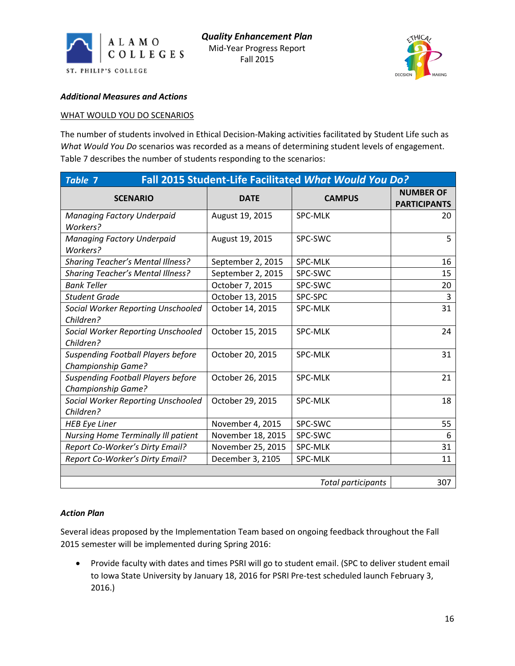



#### *Additional Measures and Actions*

#### WHAT WOULD YOU DO SCENARIOS

The number of students involved in Ethical Decision-Making activities facilitated by Student Life such as *What Would You Do* scenarios was recorded as a means of determining student levels of engagement. Table 7 describes the number of students responding to the scenarios:

| Fall 2015 Student-Life Facilitated What Would You Do?<br><b>Table 7</b> |                   |                           |                                         |  |
|-------------------------------------------------------------------------|-------------------|---------------------------|-----------------------------------------|--|
| <b>SCENARIO</b>                                                         | <b>DATE</b>       | <b>CAMPUS</b>             | <b>NUMBER OF</b><br><b>PARTICIPANTS</b> |  |
| <b>Managing Factory Underpaid</b><br>Workers?                           | August 19, 2015   | <b>SPC-MLK</b>            | 20                                      |  |
| <b>Managing Factory Underpaid</b><br>Workers?                           | August 19, 2015   | SPC-SWC                   | 5                                       |  |
| <b>Sharing Teacher's Mental Illness?</b>                                | September 2, 2015 | <b>SPC-MLK</b>            | 16                                      |  |
| <b>Sharing Teacher's Mental Illness?</b>                                | September 2, 2015 | SPC-SWC                   | 15                                      |  |
| <b>Bank Teller</b>                                                      | October 7, 2015   | SPC-SWC                   | 20                                      |  |
| <b>Student Grade</b>                                                    | October 13, 2015  | SPC-SPC                   | 3                                       |  |
| Social Worker Reporting Unschooled<br>Children?                         | October 14, 2015  | <b>SPC-MLK</b>            | 31                                      |  |
| Social Worker Reporting Unschooled<br>Children?                         | October 15, 2015  | <b>SPC-MLK</b>            | 24                                      |  |
| <b>Suspending Football Players before</b><br><b>Championship Game?</b>  | October 20, 2015  | <b>SPC-MLK</b>            | 31                                      |  |
| <b>Suspending Football Players before</b><br>Championship Game?         | October 26, 2015  | <b>SPC-MLK</b>            | 21                                      |  |
| <b>Social Worker Reporting Unschooled</b><br>Children?                  | October 29, 2015  | <b>SPC-MLK</b>            | 18                                      |  |
| <b>HEB Eye Liner</b>                                                    | November 4, 2015  | SPC-SWC                   | 55                                      |  |
| <b>Nursing Home Terminally Ill patient</b>                              | November 18, 2015 | SPC-SWC                   | 6                                       |  |
| Report Co-Worker's Dirty Email?                                         | November 25, 2015 | SPC-MLK                   | 31                                      |  |
| Report Co-Worker's Dirty Email?                                         | December 3, 2105  | <b>SPC-MLK</b>            | 11                                      |  |
|                                                                         |                   | <b>Total participants</b> | 307                                     |  |

# *Action Plan*

Several ideas proposed by the Implementation Team based on ongoing feedback throughout the Fall 2015 semester will be implemented during Spring 2016:

 Provide faculty with dates and times PSRI will go to student email. (SPC to deliver student email to Iowa State University by January 18, 2016 for PSRI Pre-test scheduled launch February 3, 2016.)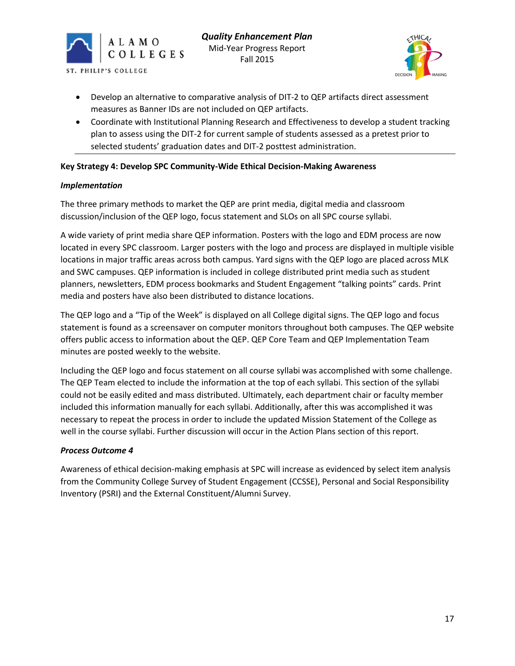



- Develop an alternative to comparative analysis of DIT-2 to QEP artifacts direct assessment measures as Banner IDs are not included on QEP artifacts.
- Coordinate with Institutional Planning Research and Effectiveness to develop a student tracking plan to assess using the DIT-2 for current sample of students assessed as a pretest prior to selected students' graduation dates and DIT-2 posttest administration.

# **Key Strategy 4: Develop SPC Community-Wide Ethical Decision-Making Awareness**

#### *Implementation*

The three primary methods to market the QEP are print media, digital media and classroom discussion/inclusion of the QEP logo, focus statement and SLOs on all SPC course syllabi.

A wide variety of print media share QEP information. Posters with the logo and EDM process are now located in every SPC classroom. Larger posters with the logo and process are displayed in multiple visible locations in major traffic areas across both campus. Yard signs with the QEP logo are placed across MLK and SWC campuses. QEP information is included in college distributed print media such as student planners, newsletters, EDM process bookmarks and Student Engagement "talking points" cards. Print media and posters have also been distributed to distance locations.

The QEP logo and a "Tip of the Week" is displayed on all College digital signs. The QEP logo and focus statement is found as a screensaver on computer monitors throughout both campuses. The QEP website offers public access to information about the QEP. QEP Core Team and QEP Implementation Team minutes are posted weekly to the website.

Including the QEP logo and focus statement on all course syllabi was accomplished with some challenge. The QEP Team elected to include the information at the top of each syllabi. This section of the syllabi could not be easily edited and mass distributed. Ultimately, each department chair or faculty member included this information manually for each syllabi. Additionally, after this was accomplished it was necessary to repeat the process in order to include the updated Mission Statement of the College as well in the course syllabi. Further discussion will occur in the Action Plans section of this report.

#### *Process Outcome 4*

Awareness of ethical decision-making emphasis at SPC will increase as evidenced by select item analysis from the Community College Survey of Student Engagement (CCSSE), Personal and Social Responsibility Inventory (PSRI) and the External Constituent/Alumni Survey.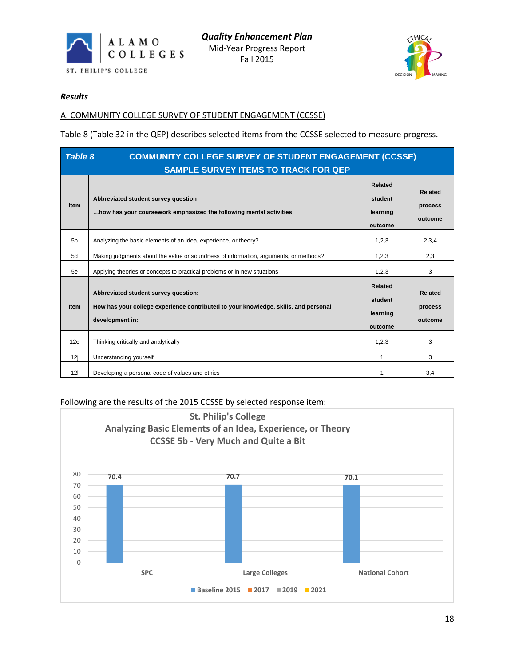



#### *Results*

# A. COMMUNITY COLLEGE SURVEY OF STUDENT ENGAGEMENT (CCSSE)

Table 8 (Table 32 in the QEP) describes selected items from the CCSSE selected to measure progress.

|                | <b>COMMUNITY COLLEGE SURVEY OF STUDENT ENGAGEMENT (CCSSE)</b><br>Table 8<br><b>SAMPLE SURVEY ITEMS TO TRACK FOR QEP</b>                        |                                                  |                                      |  |  |
|----------------|------------------------------------------------------------------------------------------------------------------------------------------------|--------------------------------------------------|--------------------------------------|--|--|
| <b>Item</b>    | Abbreviated student survey question<br>how has your coursework emphasized the following mental activities:                                     | <b>Related</b><br>student<br>learning<br>outcome | Related<br>process<br>outcome        |  |  |
| 5 <sub>b</sub> | Analyzing the basic elements of an idea, experience, or theory?                                                                                | 1,2,3                                            | 2,3,4                                |  |  |
| 5d             | Making judgments about the value or soundness of information, arguments, or methods?                                                           | 1,2,3                                            | 2,3                                  |  |  |
| 5e             | Applying theories or concepts to practical problems or in new situations                                                                       | 1,2,3                                            | 3                                    |  |  |
| <b>Item</b>    | Abbreviated student survey question:<br>How has your college experience contributed to your knowledge, skills, and personal<br>development in: | <b>Related</b><br>student<br>learning<br>outcome | <b>Related</b><br>process<br>outcome |  |  |
| 12e            | Thinking critically and analytically                                                                                                           | 1,2,3                                            | 3                                    |  |  |
| 12j            | Understanding yourself                                                                                                                         | 1                                                | 3                                    |  |  |
| 121            | Developing a personal code of values and ethics                                                                                                |                                                  | 3,4                                  |  |  |

#### Following are the results of the 2015 CCSSE by selected response item:

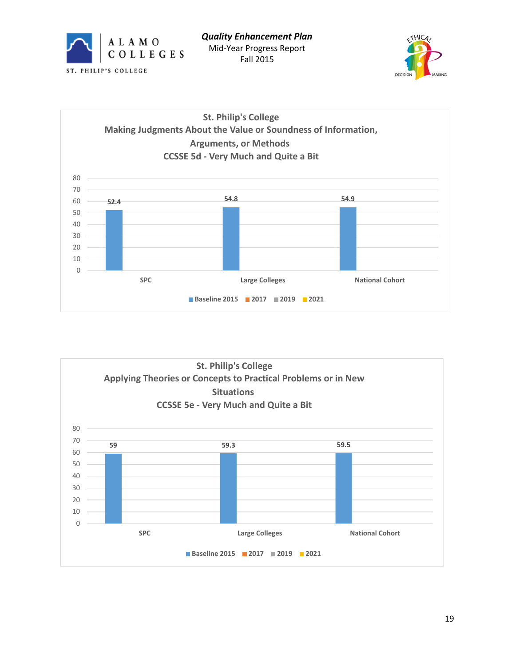





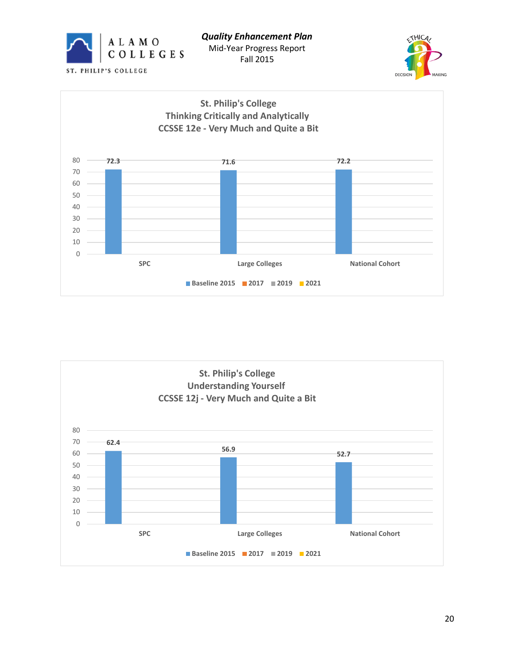







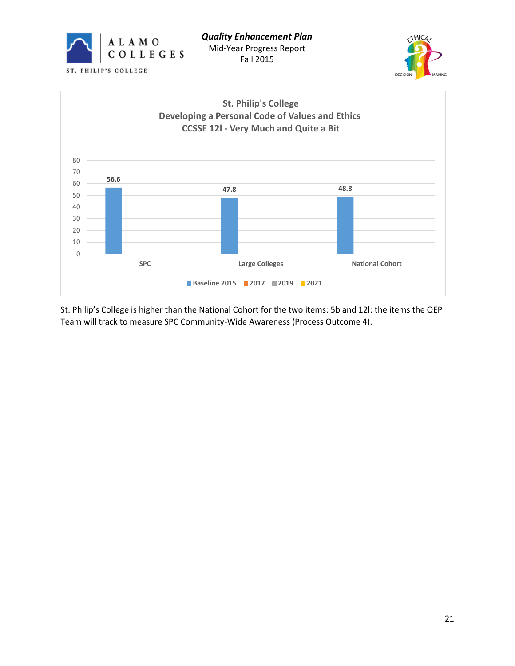





St. Philip's College is higher than the National Cohort for the two items: 5b and 12l: the items the QEP Team will track to measure SPC Community-Wide Awareness (Process Outcome 4).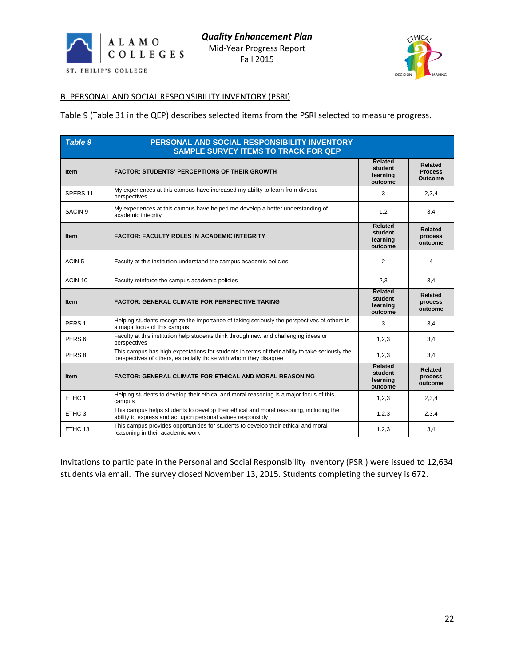



#### B. PERSONAL AND SOCIAL RESPONSIBILITY INVENTORY (PSRI)

Table 9 (Table 31 in the QEP) describes selected items from the PSRI selected to measure progress.

| <b>Table 9</b><br>PERSONAL AND SOCIAL RESPONSIBILITY INVENTORY<br><b>SAMPLE SURVEY ITEMS TO TRACK FOR QEP</b> |                                                                                                                                                                    |                                                  |                                             |
|---------------------------------------------------------------------------------------------------------------|--------------------------------------------------------------------------------------------------------------------------------------------------------------------|--------------------------------------------------|---------------------------------------------|
| <b>Item</b>                                                                                                   | <b>FACTOR: STUDENTS' PERCEPTIONS OF THEIR GROWTH</b>                                                                                                               | Related<br>student<br>learning<br>outcome        | <b>Related</b><br><b>Process</b><br>Outcome |
| SPERS <sub>11</sub>                                                                                           | My experiences at this campus have increased my ability to learn from diverse<br>perspectives.                                                                     | 3                                                | 2,3,4                                       |
| SACIN <sub>9</sub>                                                                                            | My experiences at this campus have helped me develop a better understanding of<br>academic integrity                                                               | 1,2                                              | 3,4                                         |
| <b>Item</b>                                                                                                   | <b>FACTOR: FACULTY ROLES IN ACADEMIC INTEGRITY</b>                                                                                                                 | <b>Related</b><br>student<br>learning<br>outcome | <b>Related</b><br>process<br>outcome        |
| ACIN <sub>5</sub>                                                                                             | Faculty at this institution understand the campus academic policies                                                                                                | 2                                                | 4                                           |
| ACIN 10                                                                                                       | Faculty reinforce the campus academic policies                                                                                                                     | 2,3                                              | 3,4                                         |
| <b>Item</b>                                                                                                   | <b>FACTOR: GENERAL CLIMATE FOR PERSPECTIVE TAKING</b>                                                                                                              | Related<br>student<br>learning<br>outcome        | <b>Related</b><br>process<br>outcome        |
| PERS <sub>1</sub>                                                                                             | Helping students recognize the importance of taking seriously the perspectives of others is<br>a major focus of this campus                                        | 3                                                | 3,4                                         |
| PERS <sub>6</sub>                                                                                             | Faculty at this institution help students think through new and challenging ideas or<br>perspectives                                                               | 1,2,3                                            | 3,4                                         |
| PERS <sub>8</sub>                                                                                             | This campus has high expectations for students in terms of their ability to take seriously the<br>perspectives of others, especially those with whom they disagree | 1,2,3                                            | 3,4                                         |
| <b>Item</b>                                                                                                   | <b>FACTOR: GENERAL CLIMATE FOR ETHICAL AND MORAL REASONING</b>                                                                                                     | <b>Related</b><br>student<br>learning<br>outcome | Related<br>process<br>outcome               |
| ETHC <sub>1</sub>                                                                                             | Helping students to develop their ethical and moral reasoning is a major focus of this<br>campus                                                                   | 1,2,3                                            | 2,3,4                                       |
| ETHC 3                                                                                                        | This campus helps students to develop their ethical and moral reasoning, including the<br>ability to express and act upon personal values responsibly              | 1,2,3                                            | 2,3,4                                       |
| ETHC 13                                                                                                       | This campus provides opportunities for students to develop their ethical and moral<br>reasoning in their academic work                                             | 1,2,3                                            | 3,4                                         |

Invitations to participate in the Personal and Social Responsibility Inventory (PSRI) were issued to 12,634 students via email. The survey closed November 13, 2015. Students completing the survey is 672.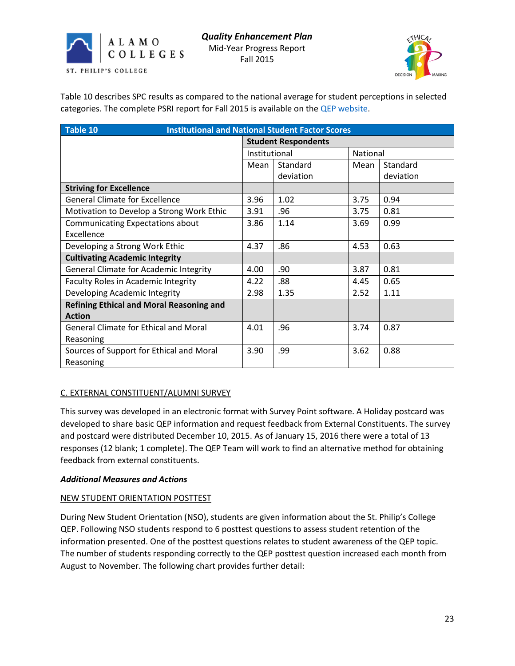



Table 10 describes SPC results as compared to the national average for student perceptions in selected categories. The complete PSRI report for Fall 2015 is available on the **QEP** website.

| Table 10<br><b>Institutional and National Student Factor Scores</b> |                            |           |          |           |
|---------------------------------------------------------------------|----------------------------|-----------|----------|-----------|
|                                                                     | <b>Student Respondents</b> |           |          |           |
|                                                                     | Institutional              |           | National |           |
|                                                                     | Mean                       | Standard  | Mean     | Standard  |
|                                                                     |                            | deviation |          | deviation |
| <b>Striving for Excellence</b>                                      |                            |           |          |           |
| <b>General Climate for Excellence</b>                               | 3.96                       | 1.02      | 3.75     | 0.94      |
| Motivation to Develop a Strong Work Ethic                           | 3.91                       | .96       | 3.75     | 0.81      |
| <b>Communicating Expectations about</b>                             |                            | 1.14      | 3.69     | 0.99      |
| Excellence                                                          |                            |           |          |           |
| Developing a Strong Work Ethic                                      | 4.37                       | .86       | 4.53     | 0.63      |
| <b>Cultivating Academic Integrity</b>                               |                            |           |          |           |
| General Climate for Academic Integrity                              | 4.00                       | .90       | 3.87     | 0.81      |
| <b>Faculty Roles in Academic Integrity</b>                          | 4.22                       | .88       | 4.45     | 0.65      |
| Developing Academic Integrity                                       | 2.98                       | 1.35      | 2.52     | 1.11      |
| <b>Refining Ethical and Moral Reasoning and</b>                     |                            |           |          |           |
| <b>Action</b>                                                       |                            |           |          |           |
| <b>General Climate for Ethical and Moral</b>                        | 4.01                       | .96       | 3.74     | 0.87      |
| Reasoning                                                           |                            |           |          |           |
| Sources of Support for Ethical and Moral                            |                            | .99       | 3.62     | 0.88      |
| Reasoning                                                           |                            |           |          |           |

# C. EXTERNAL CONSTITUENT/ALUMNI SURVEY

This survey was developed in an electronic format with Survey Point software. A Holiday postcard was developed to share basic QEP information and request feedback from External Constituents. The survey and postcard were distributed December 10, 2015. As of January 15, 2016 there were a total of 13 responses (12 blank; 1 complete). The QEP Team will work to find an alternative method for obtaining feedback from external constituents.

#### *Additional Measures and Actions*

#### NEW STUDENT ORIENTATION POSTTEST

During New Student Orientation (NSO), students are given information about the St. Philip's College QEP. Following NSO students respond to 6 posttest questions to assess student retention of the information presented. One of the posttest questions relates to student awareness of the QEP topic. The number of students responding correctly to the QEP posttest question increased each month from August to November. The following chart provides further detail: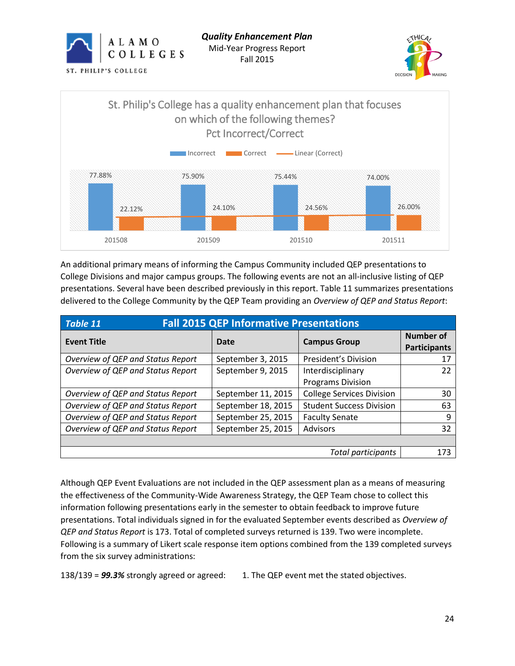





An additional primary means of informing the Campus Community included QEP presentations to College Divisions and major campus groups. The following events are not an all-inclusive listing of QEP presentations. Several have been described previously in this report. Table 11 summarizes presentations delivered to the College Community by the QEP Team providing an *Overview of QEP and Status Report*:

| <b>Fall 2015 QEP Informative Presentations</b><br><b>Table 11</b> |                    |                                  |                                         |  |
|-------------------------------------------------------------------|--------------------|----------------------------------|-----------------------------------------|--|
| <b>Event Title</b>                                                | Date               | <b>Campus Group</b>              | <b>Number of</b><br><b>Participants</b> |  |
| Overview of QEP and Status Report                                 | September 3, 2015  | <b>President's Division</b>      | 17                                      |  |
| Overview of QEP and Status Report                                 | September 9, 2015  | Interdisciplinary                | 22                                      |  |
|                                                                   |                    | <b>Programs Division</b>         |                                         |  |
| Overview of QEP and Status Report                                 | September 11, 2015 | <b>College Services Division</b> | 30                                      |  |
| Overview of QEP and Status Report                                 | September 18, 2015 | <b>Student Success Division</b>  | 63                                      |  |
| Overview of QEP and Status Report                                 | September 25, 2015 | <b>Faculty Senate</b>            | 9                                       |  |
| Overview of QEP and Status Report                                 | September 25, 2015 | Advisors                         | 32                                      |  |
|                                                                   |                    |                                  |                                         |  |
| Total participants                                                |                    |                                  |                                         |  |

Although QEP Event Evaluations are not included in the QEP assessment plan as a means of measuring the effectiveness of the Community-Wide Awareness Strategy, the QEP Team chose to collect this information following presentations early in the semester to obtain feedback to improve future presentations. Total individuals signed in for the evaluated September events described as *Overview of QEP and Status Report* is 173. Total of completed surveys returned is 139. Two were incomplete. Following is a summary of Likert scale response item options combined from the 139 completed surveys from the six survey administrations:

138/139 = *99.3%* strongly agreed or agreed: 1. The QEP event met the stated objectives.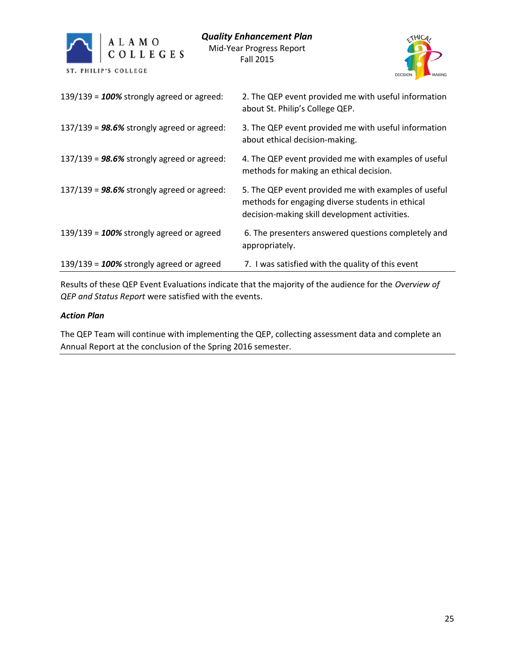



| 139/139 = $100\%$ strongly agreed or agreed:        | 2. The QEP event provided me with useful information<br>about St. Philip's College QEP.                                                                   |
|-----------------------------------------------------|-----------------------------------------------------------------------------------------------------------------------------------------------------------|
| $137/139$ = <b>98.6%</b> strongly agreed or agreed: | 3. The QEP event provided me with useful information<br>about ethical decision-making.                                                                    |
| $137/139$ = 98.6% strongly agreed or agreed:        | 4. The QEP event provided me with examples of useful<br>methods for making an ethical decision.                                                           |
| $137/139$ = <b>98.6%</b> strongly agreed or agreed: | 5. The QEP event provided me with examples of useful<br>methods for engaging diverse students in ethical<br>decision-making skill development activities. |
| 139/139 = $100\%$ strongly agreed or agreed         | 6. The presenters answered questions completely and<br>appropriately.                                                                                     |
| 139/139 = $100\%$ strongly agreed or agreed         | 7. I was satisfied with the quality of this event                                                                                                         |

Results of these QEP Event Evaluations indicate that the majority of the audience for the *Overview of QEP and Status Report* were satisfied with the events.

# *Action Plan*

The QEP Team will continue with implementing the QEP, collecting assessment data and complete an Annual Report at the conclusion of the Spring 2016 semester.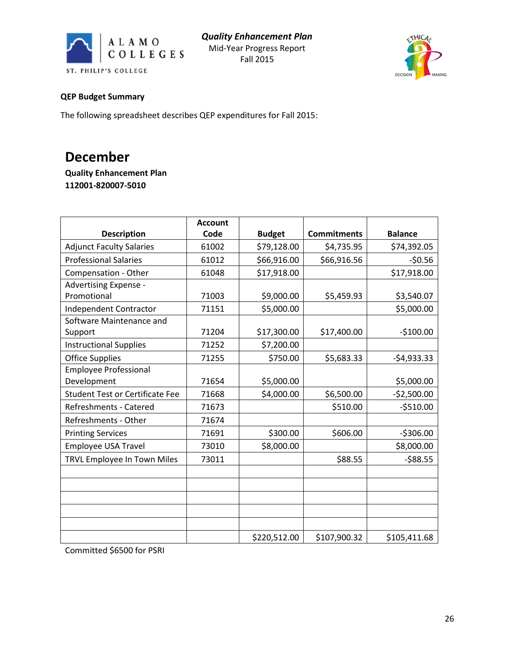



## **QEP Budget Summary**

The following spreadsheet describes QEP expenditures for Fall 2015:

# **December**

**Quality Enhancement Plan 112001-820007-5010**

|                                        | <b>Account</b> |               |                    |                |
|----------------------------------------|----------------|---------------|--------------------|----------------|
| <b>Description</b>                     | Code           | <b>Budget</b> | <b>Commitments</b> | <b>Balance</b> |
| <b>Adjunct Faculty Salaries</b>        | 61002          | \$79,128.00   | \$4,735.95         | \$74,392.05    |
| <b>Professional Salaries</b>           | 61012          | \$66,916.00   | \$66,916.56        | $-50.56$       |
| Compensation - Other                   | 61048          | \$17,918.00   |                    | \$17,918.00    |
| Advertising Expense -                  |                |               |                    |                |
| Promotional                            | 71003          | \$9,000.00    | \$5,459.93         | \$3,540.07     |
| Independent Contractor                 | 71151          | \$5,000.00    |                    | \$5,000.00     |
| Software Maintenance and               |                |               |                    |                |
| Support                                | 71204          | \$17,300.00   | \$17,400.00        | $-$100.00$     |
| <b>Instructional Supplies</b>          | 71252          | \$7,200.00    |                    |                |
| <b>Office Supplies</b>                 | 71255          | \$750.00      | \$5,683.33         | $-54,933.33$   |
| <b>Employee Professional</b>           |                |               |                    |                |
| Development                            | 71654          | \$5,000.00    |                    | \$5,000.00     |
| <b>Student Test or Certificate Fee</b> | 71668          | \$4,000.00    | \$6,500.00         | $-52,500.00$   |
| Refreshments - Catered                 | 71673          |               | \$510.00           | $-5510.00$     |
| Refreshments - Other                   | 71674          |               |                    |                |
| <b>Printing Services</b>               | 71691          | \$300.00      | \$606.00           | $-5306.00$     |
| <b>Employee USA Travel</b>             | 73010          | \$8,000.00    |                    | \$8,000.00     |
| TRVL Employee In Town Miles            | 73011          |               | \$88.55            | $-588.55$      |
|                                        |                |               |                    |                |
|                                        |                |               |                    |                |
|                                        |                |               |                    |                |
|                                        |                |               |                    |                |
|                                        |                |               |                    |                |
|                                        |                | \$220,512.00  | \$107,900.32       | \$105,411.68   |

Committed \$6500 for PSRI